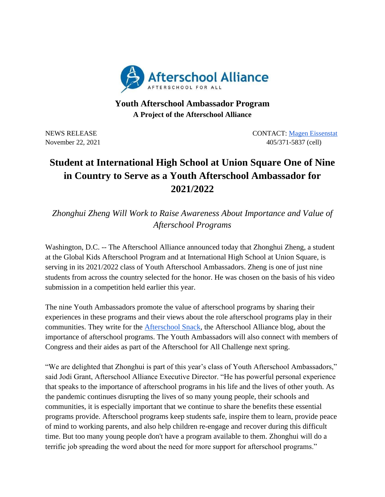

## **Youth Afterschool Ambassador Program A Project of the Afterschool Alliance**

NEWS RELEASE CONTACT: [Magen Eissenstat](mailto:magen@prsolutionsdc.com) November 22, 2021 405/371-5837 (cell)

## **Student at International High School at Union Square One of Nine in Country to Serve as a Youth Afterschool Ambassador for 2021/2022**

*Zhonghui Zheng Will Work to Raise Awareness About Importance and Value of Afterschool Programs*

Washington, D.C. -- The Afterschool Alliance announced today that Zhonghui Zheng, a student at the Global Kids Afterschool Program and at International High School at Union Square, is serving in its 2021/2022 class of Youth Afterschool Ambassadors. Zheng is one of just nine students from across the country selected for the honor. He was chosen on the basis of his video submission in a competition held earlier this year.

The nine Youth Ambassadors promote the value of afterschool programs by sharing their experiences in these programs and their views about the role afterschool programs play in their communities. They write for the [Afterschool Snack,](http://www.afterschoolalliance.org/afterschoolsnack/ASnack.cfm) the Afterschool Alliance blog, about the importance of afterschool programs. The Youth Ambassadors will also connect with members of Congress and their aides as part of the Afterschool for All Challenge next spring.

"We are delighted that Zhonghui is part of this year's class of Youth Afterschool Ambassadors," said Jodi Grant, Afterschool Alliance Executive Director. "He has powerful personal experience that speaks to the importance of afterschool programs in his life and the lives of other youth. As the pandemic continues disrupting the lives of so many young people, their schools and communities, it is especially important that we continue to share the benefits these essential programs provide. Afterschool programs keep students safe, inspire them to learn, provide peace of mind to working parents, and also help children re-engage and recover during this difficult time. But too many young people don't have a program available to them. Zhonghui will do a terrific job spreading the word about the need for more support for afterschool programs."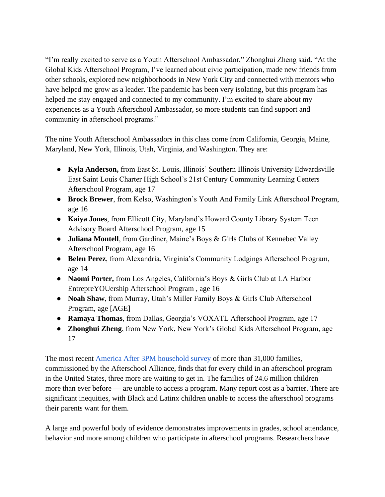"I'm really excited to serve as a Youth Afterschool Ambassador," Zhonghui Zheng said. "At the Global Kids Afterschool Program, I've learned about civic participation, made new friends from other schools, explored new neighborhoods in New York City and connected with mentors who have helped me grow as a leader. The pandemic has been very isolating, but this program has helped me stay engaged and connected to my community. I'm excited to share about my experiences as a Youth Afterschool Ambassador, so more students can find support and community in afterschool programs."

The nine Youth Afterschool Ambassadors in this class come from California, Georgia, Maine, Maryland, New York, Illinois, Utah, Virginia, and Washington. They are:

- **Kyla Anderson,** from East St. Louis, Illinois' Southern Illinois University Edwardsville East Saint Louis Charter High School's 21st Century Community Learning Centers Afterschool Program, age 17
- **Brock Brewer**, from Kelso, Washington's Youth And Family Link Afterschool Program, age 16
- **Kaiya Jones**, from Ellicott City, Maryland's Howard County Library System Teen Advisory Board Afterschool Program, age 15
- **Juliana Montell**, from Gardiner, Maine's Boys & Girls Clubs of Kennebec Valley Afterschool Program, age 16
- **Belen Perez**, from Alexandria, Virginia's Community Lodgings Afterschool Program, age 14
- **Naomi Porter,** from Los Angeles, California's Boys & Girls Club at LA Harbor EntrepreYOUership Afterschool Program , age 16
- **Noah Shaw**, from Murray, Utah's Miller Family Boys & Girls Club Afterschool Program, age [AGE]
- **Ramaya Thomas**, from Dallas, Georgia's VOXATL Afterschool Program, age 17
- **Zhonghui Zheng**, from New York, New York's Global Kids Afterschool Program, age 17

The most recent [America After 3PM household survey](http://www.afterschoolalliance.org/AA3PM/) of more than 31,000 families, commissioned by the Afterschool Alliance, finds that for every child in an afterschool program in the United States, three more are waiting to get in. The families of 24.6 million children more than ever before — are unable to access a program. Many report cost as a barrier. There are significant inequities, with Black and Latinx children unable to access the afterschool programs their parents want for them.

A large and powerful body of evidence demonstrates improvements in grades, school attendance, behavior and more among children who participate in afterschool programs. Researchers have